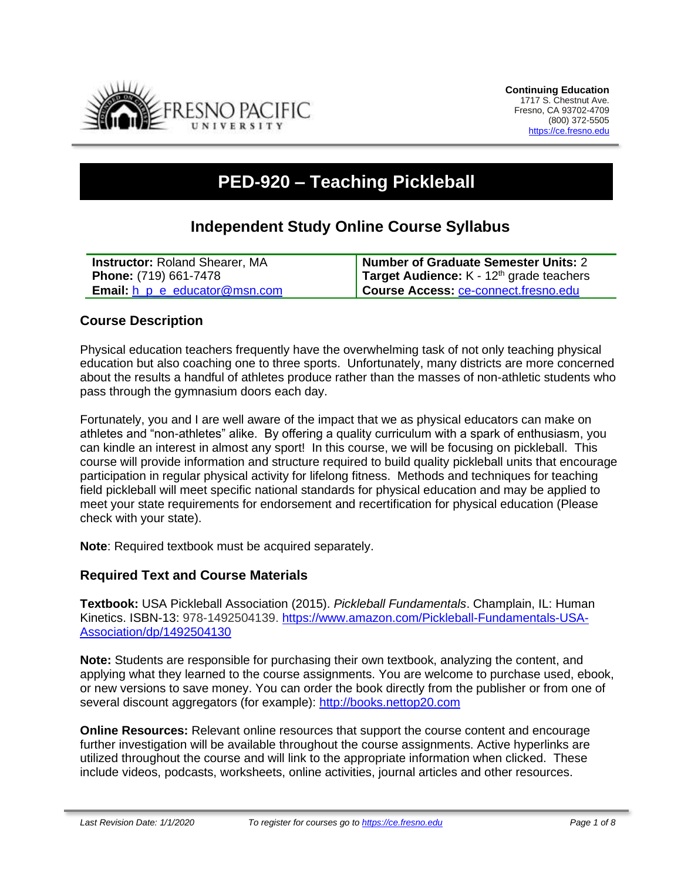

# **PED-920 – Teaching Pickleball**

# **Independent Study Online Course Syllabus**

| <b>Instructor: Roland Shearer, MA</b>       | Number of Graduate Semester Units: 2                 |
|---------------------------------------------|------------------------------------------------------|
| <b>Phone:</b> (719) 661-7478                | Target Audience: K - 12 <sup>th</sup> grade teachers |
| <b>Email:</b> $h$ $p$ $e$ educator @msn.com | Course Access: ce-connect.fresno.edu                 |

#### **Course Description**

Physical education teachers frequently have the overwhelming task of not only teaching physical education but also coaching one to three sports. Unfortunately, many districts are more concerned about the results a handful of athletes produce rather than the masses of non-athletic students who pass through the gymnasium doors each day.

Fortunately, you and I are well aware of the impact that we as physical educators can make on athletes and "non-athletes" alike. By offering a quality curriculum with a spark of enthusiasm, you can kindle an interest in almost any sport! In this course, we will be focusing on pickleball. This course will provide information and structure required to build quality pickleball units that encourage participation in regular physical activity for lifelong fitness. Methods and techniques for teaching field pickleball will meet specific national standards for physical education and may be applied to meet your state requirements for endorsement and recertification for physical education (Please check with your state).

**Note**: Required textbook must be acquired separately.

#### **Required Text and Course Materials**

**Textbook:** USA Pickleball Association (2015). *Pickleball Fundamentals*. Champlain, IL: Human Kinetics. ISBN-13: 978-1492504139. [https://www.amazon.com/Pickleball-Fundamentals-USA-](https://www.amazon.com/Pickleball-Fundamentals-USA-Association/dp/1492504130)[Association/dp/1492504130](https://www.amazon.com/Pickleball-Fundamentals-USA-Association/dp/1492504130)

**Note:** Students are responsible for purchasing their own textbook, analyzing the content, and applying what they learned to the course assignments. You are welcome to purchase used, ebook, or new versions to save money. You can order the book directly from the publisher or from one of several discount aggregators (for example): [http://books.nettop20.com](http://books.nettop20.com/)

**Online Resources:** Relevant online resources that support the course content and encourage further investigation will be available throughout the course assignments. Active hyperlinks are utilized throughout the course and will link to the appropriate information when clicked. These include videos, podcasts, worksheets, online activities, journal articles and other resources.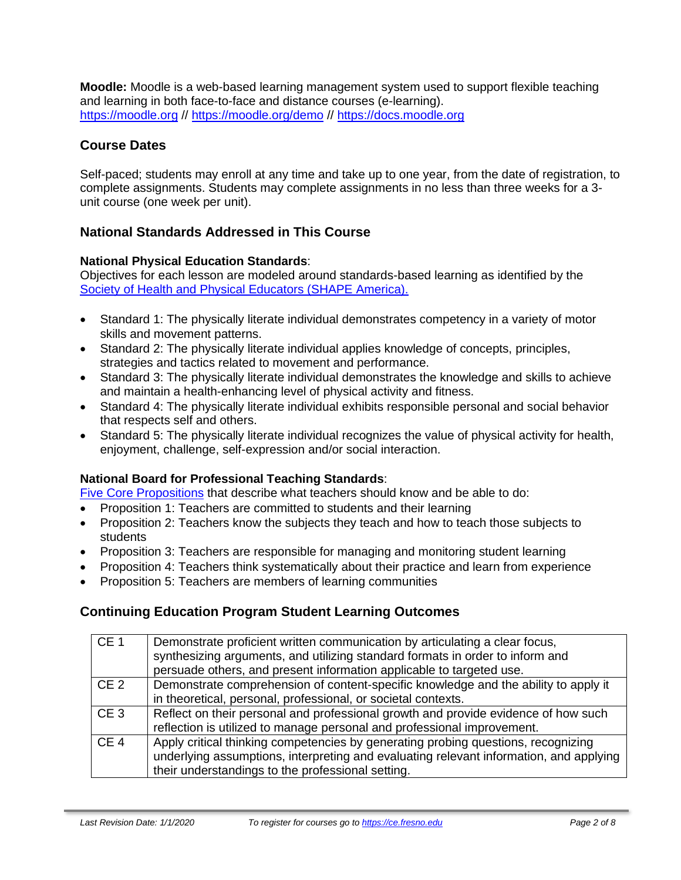**Moodle:** Moodle is a web-based learning management system used to support flexible teaching and learning in both face-to-face and distance courses (e-learning). [https://moodle.org](https://moodle.org/) //<https://moodle.org/demo> // [https://docs.moodle.org](https://docs.moodle.org/)

# **Course Dates**

Self-paced; students may enroll at any time and take up to one year, from the date of registration, to complete assignments. Students may complete assignments in no less than three weeks for a 3 unit course (one week per unit).

# **National Standards Addressed in This Course**

#### **National Physical Education Standards**:

Objectives for each lesson are modeled around standards-based learning as identified by the [Society of Health and Physical Educators \(SHAPE America\).](https://www.shapeamerica.org/standards/pe/)

- Standard 1: The physically literate individual demonstrates competency in a variety of motor skills and movement patterns.
- Standard 2: The physically literate individual applies knowledge of concepts, principles, strategies and tactics related to movement and performance.
- Standard 3: The physically literate individual demonstrates the knowledge and skills to achieve and maintain a health-enhancing level of physical activity and fitness.
- Standard 4: The physically literate individual exhibits responsible personal and social behavior that respects self and others.
- Standard 5: The physically literate individual recognizes the value of physical activity for health, enjoyment, challenge, self-expression and/or social interaction.

#### **National Board for Professional Teaching Standards**:

[Five Core Propositions](http://www.nbpts.org/standards-five-core-propositions/) that describe what teachers should know and be able to do:

- Proposition 1: Teachers are committed to students and their learning
- Proposition 2: Teachers know the subjects they teach and how to teach those subjects to students
- Proposition 3: Teachers are responsible for managing and monitoring student learning
- Proposition 4: Teachers think systematically about their practice and learn from experience
- Proposition 5: Teachers are members of learning communities

#### **Continuing Education Program Student Learning Outcomes**

| CE1             | Demonstrate proficient written communication by articulating a clear focus,<br>synthesizing arguments, and utilizing standard formats in order to inform and<br>persuade others, and present information applicable to targeted use. |
|-----------------|--------------------------------------------------------------------------------------------------------------------------------------------------------------------------------------------------------------------------------------|
| CE <sub>2</sub> | Demonstrate comprehension of content-specific knowledge and the ability to apply it<br>in theoretical, personal, professional, or societal contexts.                                                                                 |
| CE <sub>3</sub> | Reflect on their personal and professional growth and provide evidence of how such<br>reflection is utilized to manage personal and professional improvement.                                                                        |
| CE <sub>4</sub> | Apply critical thinking competencies by generating probing questions, recognizing<br>underlying assumptions, interpreting and evaluating relevant information, and applying<br>their understandings to the professional setting.     |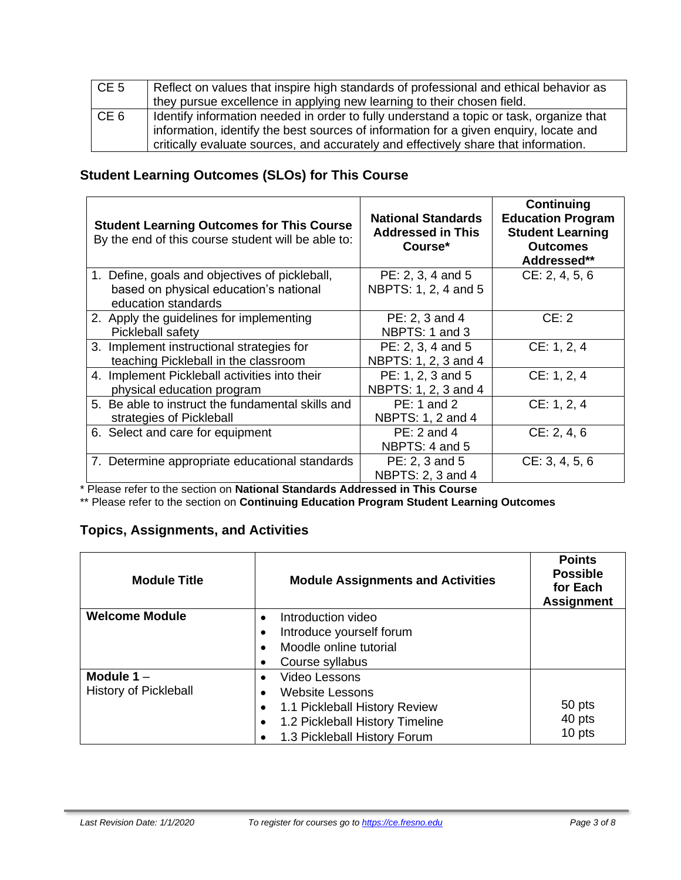| CE <sub>5</sub> | Reflect on values that inspire high standards of professional and ethical behavior as<br>they pursue excellence in applying new learning to their chosen field.              |
|-----------------|------------------------------------------------------------------------------------------------------------------------------------------------------------------------------|
| CE <sub>6</sub> | I dentify information needed in order to fully understand a topic or task, organize that                                                                                     |
|                 | information, identify the best sources of information for a given enquiry, locate and<br>critically evaluate sources, and accurately and effectively share that information. |

# **Student Learning Outcomes (SLOs) for This Course**

| <b>Student Learning Outcomes for This Course</b><br>By the end of this course student will be able to:          | <b>National Standards</b><br><b>Addressed in This</b><br>Course* | Continuing<br><b>Education Program</b><br><b>Student Learning</b><br><b>Outcomes</b><br>Addressed** |
|-----------------------------------------------------------------------------------------------------------------|------------------------------------------------------------------|-----------------------------------------------------------------------------------------------------|
| 1. Define, goals and objectives of pickleball,<br>based on physical education's national<br>education standards | PE: 2, 3, 4 and 5<br>NBPTS: 1, 2, 4 and 5                        | CE: 2, 4, 5, 6                                                                                      |
| 2. Apply the guidelines for implementing<br>Pickleball safety                                                   | PE: 2, 3 and 4<br>NBPTS: 1 and 3                                 | CE: 2                                                                                               |
| 3. Implement instructional strategies for<br>teaching Pickleball in the classroom                               | PE: 2, 3, 4 and 5<br>NBPTS: 1, 2, 3 and 4                        | CE: 1, 2, 4                                                                                         |
| 4. Implement Pickleball activities into their<br>physical education program                                     | PE: 1, 2, 3 and 5<br>NBPTS: 1, 2, 3 and 4                        | CE: 1, 2, 4                                                                                         |
| 5. Be able to instruct the fundamental skills and<br>strategies of Pickleball                                   | PE: 1 and 2<br>NBPTS: 1, 2 and 4                                 | CE: 1, 2, 4                                                                                         |
| 6. Select and care for equipment                                                                                | $PE: 2$ and 4<br>NBPTS: 4 and 5                                  | CE: 2, 4, 6                                                                                         |
| 7. Determine appropriate educational standards                                                                  | PE: 2, 3 and 5<br>NBPTS: 2, 3 and 4                              | CE: 3, 4, 5, 6                                                                                      |

\* Please refer to the section on **National Standards Addressed in This Course**

\*\* Please refer to the section on **Continuing Education Program Student Learning Outcomes**

# **Topics, Assignments, and Activities**

| <b>Module Title</b>          | <b>Module Assignments and Activities</b> | <b>Points</b><br><b>Possible</b><br>for Each<br><b>Assignment</b> |
|------------------------------|------------------------------------------|-------------------------------------------------------------------|
| <b>Welcome Module</b>        | Introduction video                       |                                                                   |
|                              | Introduce yourself forum                 |                                                                   |
|                              | Moodle online tutorial                   |                                                                   |
|                              | Course syllabus                          |                                                                   |
| Module $1 -$                 | <b>Video Lessons</b>                     |                                                                   |
| <b>History of Pickleball</b> | <b>Website Lessons</b>                   |                                                                   |
|                              | 1.1 Pickleball History Review            | 50 pts                                                            |
|                              | 1.2 Pickleball History Timeline          | 40 pts                                                            |
|                              | 1.3 Pickleball History Forum             | 10 pts                                                            |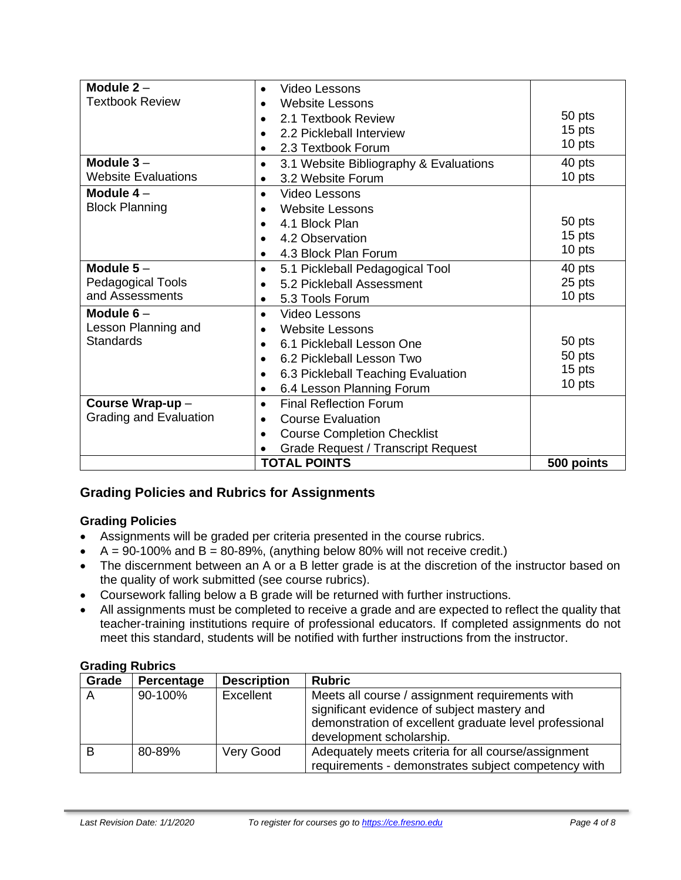| Module $2 -$               | Video Lessons                                          |            |
|----------------------------|--------------------------------------------------------|------------|
| <b>Textbook Review</b>     | <b>Website Lessons</b>                                 |            |
|                            | 2.1 Textbook Review                                    | 50 pts     |
|                            | 2.2 Pickleball Interview<br>$\bullet$                  | 15 pts     |
|                            | 2.3 Textbook Forum<br>$\bullet$                        | 10 pts     |
| Module $3-$                | 3.1 Website Bibliography & Evaluations<br>$\bullet$    | 40 pts     |
| <b>Website Evaluations</b> | 3.2 Website Forum                                      | 10 pts     |
| Module $4-$                | Video Lessons                                          |            |
| <b>Block Planning</b>      | <b>Website Lessons</b>                                 |            |
|                            | 4.1 Block Plan                                         | 50 pts     |
|                            | 4.2 Observation<br>$\bullet$                           | 15 pts     |
|                            | 4.3 Block Plan Forum<br>$\bullet$                      | 10 pts     |
| Module $5-$                | 5.1 Pickleball Pedagogical Tool<br>$\bullet$           | 40 pts     |
| Pedagogical Tools          | 5.2 Pickleball Assessment                              | 25 pts     |
| and Assessments            | 5.3 Tools Forum<br>$\bullet$                           | 10 pts     |
| Module $6-$                | Video Lessons<br>$\bullet$                             |            |
| Lesson Planning and        | <b>Website Lessons</b>                                 |            |
| <b>Standards</b>           | 6.1 Pickleball Lesson One<br>$\bullet$                 | 50 pts     |
|                            | 6.2 Pickleball Lesson Two<br>$\bullet$                 | 50 pts     |
|                            | 6.3 Pickleball Teaching Evaluation                     | 15 pts     |
|                            | 6.4 Lesson Planning Forum<br>$\bullet$                 | 10 pts     |
| Course Wrap-up-            | <b>Final Reflection Forum</b><br>$\bullet$             |            |
| Grading and Evaluation     | <b>Course Evaluation</b><br>$\bullet$                  |            |
|                            | <b>Course Completion Checklist</b><br>$\bullet$        |            |
|                            | <b>Grade Request / Transcript Request</b><br>$\bullet$ |            |
|                            | <b>TOTAL POINTS</b>                                    | 500 points |

# **Grading Policies and Rubrics for Assignments**

#### **Grading Policies**

- Assignments will be graded per criteria presented in the course rubrics.
- $\bullet$  A = 90-100% and B = 80-89%, (anything below 80% will not receive credit.)
- The discernment between an A or a B letter grade is at the discretion of the instructor based on the quality of work submitted (see course rubrics).
- Coursework falling below a B grade will be returned with further instructions.
- All assignments must be completed to receive a grade and are expected to reflect the quality that teacher-training institutions require of professional educators. If completed assignments do not meet this standard, students will be notified with further instructions from the instructor.

| -------- |            |                    |                                                                                                                                                                                      |
|----------|------------|--------------------|--------------------------------------------------------------------------------------------------------------------------------------------------------------------------------------|
| Grade    | Percentage | <b>Description</b> | <b>Rubric</b>                                                                                                                                                                        |
| A        | 90-100%    | Excellent          | Meets all course / assignment requirements with<br>significant evidence of subject mastery and<br>demonstration of excellent graduate level professional<br>development scholarship. |
| B        | 80-89%     | Very Good          | Adequately meets criteria for all course/assignment<br>requirements - demonstrates subject competency with                                                                           |

#### **Grading Rubrics**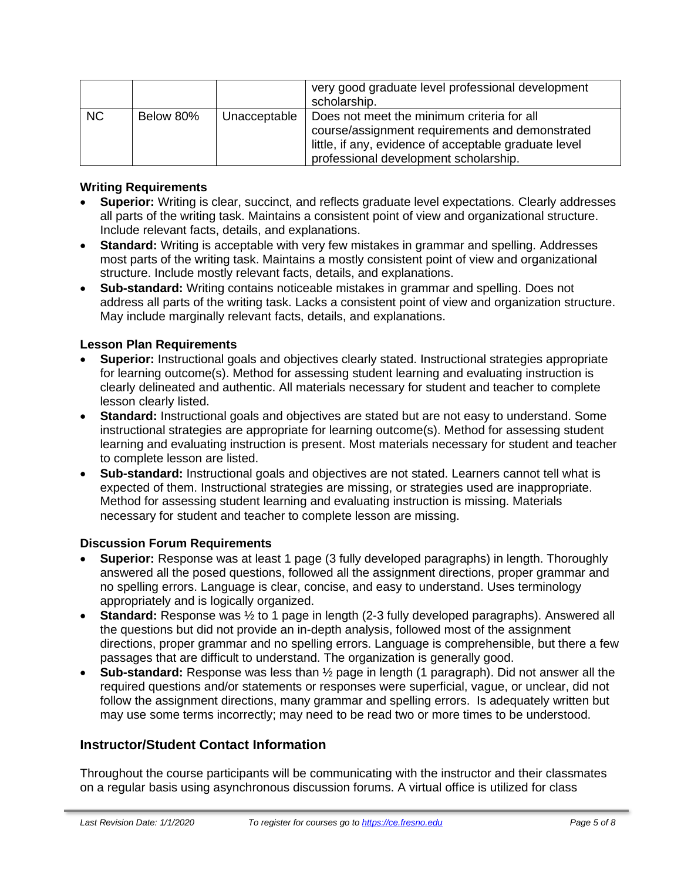|           |           |              | very good graduate level professional development<br>scholarship.                                                                                                                               |
|-----------|-----------|--------------|-------------------------------------------------------------------------------------------------------------------------------------------------------------------------------------------------|
| <b>NC</b> | Below 80% | Unacceptable | Does not meet the minimum criteria for all<br>course/assignment requirements and demonstrated<br>little, if any, evidence of acceptable graduate level<br>professional development scholarship. |

#### **Writing Requirements**

- **Superior:** Writing is clear, succinct, and reflects graduate level expectations. Clearly addresses all parts of the writing task. Maintains a consistent point of view and organizational structure. Include relevant facts, details, and explanations.
- **Standard:** Writing is acceptable with very few mistakes in grammar and spelling. Addresses most parts of the writing task. Maintains a mostly consistent point of view and organizational structure. Include mostly relevant facts, details, and explanations.
- **Sub-standard:** Writing contains noticeable mistakes in grammar and spelling. Does not address all parts of the writing task. Lacks a consistent point of view and organization structure. May include marginally relevant facts, details, and explanations.

#### **Lesson Plan Requirements**

- **Superior:** Instructional goals and objectives clearly stated. Instructional strategies appropriate for learning outcome(s). Method for assessing student learning and evaluating instruction is clearly delineated and authentic. All materials necessary for student and teacher to complete lesson clearly listed.
- **Standard:** Instructional goals and objectives are stated but are not easy to understand. Some instructional strategies are appropriate for learning outcome(s). Method for assessing student learning and evaluating instruction is present. Most materials necessary for student and teacher to complete lesson are listed.
- **Sub-standard:** Instructional goals and objectives are not stated. Learners cannot tell what is expected of them. Instructional strategies are missing, or strategies used are inappropriate. Method for assessing student learning and evaluating instruction is missing. Materials necessary for student and teacher to complete lesson are missing.

#### **Discussion Forum Requirements**

- **Superior:** Response was at least 1 page (3 fully developed paragraphs) in length. Thoroughly answered all the posed questions, followed all the assignment directions, proper grammar and no spelling errors. Language is clear, concise, and easy to understand. Uses terminology appropriately and is logically organized.
- **Standard:** Response was ½ to 1 page in length (2-3 fully developed paragraphs). Answered all the questions but did not provide an in-depth analysis, followed most of the assignment directions, proper grammar and no spelling errors. Language is comprehensible, but there a few passages that are difficult to understand. The organization is generally good.
- **Sub-standard:** Response was less than ½ page in length (1 paragraph). Did not answer all the required questions and/or statements or responses were superficial, vague, or unclear, did not follow the assignment directions, many grammar and spelling errors. Is adequately written but may use some terms incorrectly; may need to be read two or more times to be understood.

#### **Instructor/Student Contact Information**

Throughout the course participants will be communicating with the instructor and their classmates on a regular basis using asynchronous discussion forums. A virtual office is utilized for class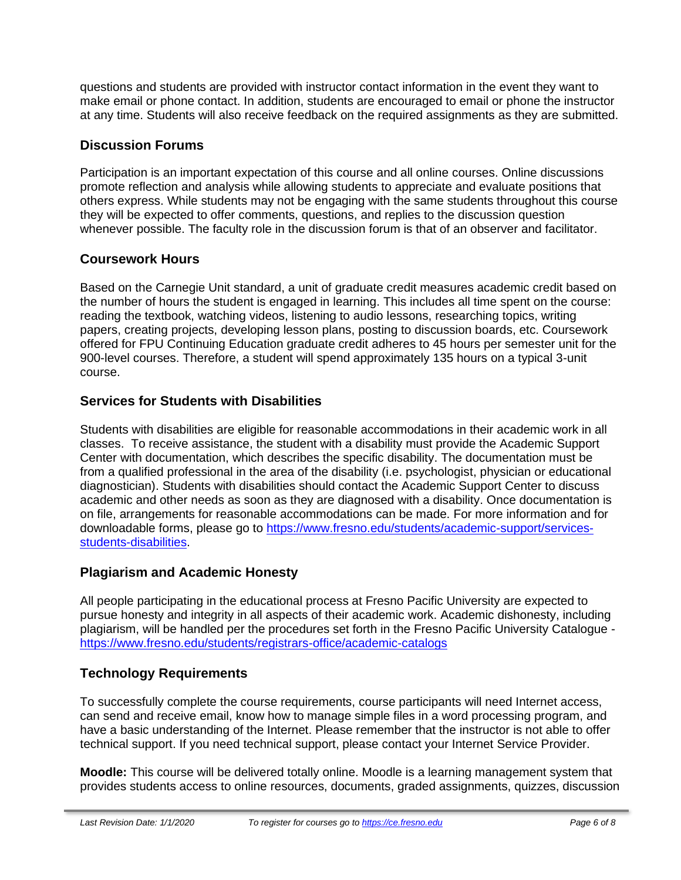questions and students are provided with instructor contact information in the event they want to make email or phone contact. In addition, students are encouraged to email or phone the instructor at any time. Students will also receive feedback on the required assignments as they are submitted.

# **Discussion Forums**

Participation is an important expectation of this course and all online courses. Online discussions promote reflection and analysis while allowing students to appreciate and evaluate positions that others express. While students may not be engaging with the same students throughout this course they will be expected to offer comments, questions, and replies to the discussion question whenever possible. The faculty role in the discussion forum is that of an observer and facilitator.

# **Coursework Hours**

Based on the Carnegie Unit standard, a unit of graduate credit measures academic credit based on the number of hours the student is engaged in learning. This includes all time spent on the course: reading the textbook, watching videos, listening to audio lessons, researching topics, writing papers, creating projects, developing lesson plans, posting to discussion boards, etc. Coursework offered for FPU Continuing Education graduate credit adheres to 45 hours per semester unit for the 900-level courses. Therefore, a student will spend approximately 135 hours on a typical 3-unit course.

# **Services for Students with Disabilities**

Students with disabilities are eligible for reasonable accommodations in their academic work in all classes. To receive assistance, the student with a disability must provide the Academic Support Center with documentation, which describes the specific disability. The documentation must be from a qualified professional in the area of the disability (i.e. psychologist, physician or educational diagnostician). Students with disabilities should contact the Academic Support Center to discuss academic and other needs as soon as they are diagnosed with a disability. Once documentation is on file, arrangements for reasonable accommodations can be made. For more information and for downloadable forms, please go to [https://www.fresno.edu/students/academic-support/services](https://www.fresno.edu/students/academic-support/services-students-disabilities)[students-disabilities.](https://www.fresno.edu/students/academic-support/services-students-disabilities)

#### **Plagiarism and Academic Honesty**

All people participating in the educational process at Fresno Pacific University are expected to pursue honesty and integrity in all aspects of their academic work. Academic dishonesty, including plagiarism, will be handled per the procedures set forth in the Fresno Pacific University Catalogue <https://www.fresno.edu/students/registrars-office/academic-catalogs>

# **Technology Requirements**

To successfully complete the course requirements, course participants will need Internet access, can send and receive email, know how to manage simple files in a word processing program, and have a basic understanding of the Internet. Please remember that the instructor is not able to offer technical support. If you need technical support, please contact your Internet Service Provider.

**Moodle:** This course will be delivered totally online. Moodle is a learning management system that provides students access to online resources, documents, graded assignments, quizzes, discussion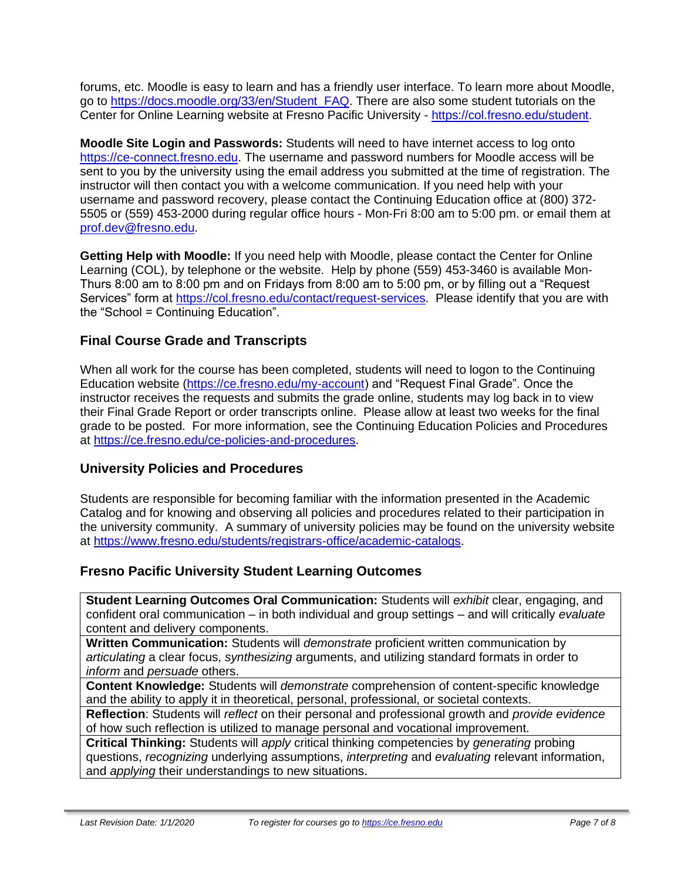forums, etc. Moodle is easy to learn and has a friendly user interface. To learn more about Moodle, go to [https://docs.moodle.org/33/en/Student\\_FAQ.](https://docs.moodle.org/33/en/Student_FAQ) There are also some student tutorials on the Center for Online Learning website at Fresno Pacific University - [https://col.fresno.edu/student.](https://col.fresno.edu/student)

**Moodle Site Login and Passwords:** Students will need to have internet access to log onto [https://ce-connect.fresno.edu.](https://ce-connect.fresno.edu/) The username and password numbers for Moodle access will be sent to you by the university using the email address you submitted at the time of registration. The instructor will then contact you with a welcome communication. If you need help with your username and password recovery, please contact the Continuing Education office at (800) 372- 5505 or (559) 453-2000 during regular office hours - Mon-Fri 8:00 am to 5:00 pm. or email them at [prof.dev@fresno.edu.](mailto:prof.dev@fresno.edu)

**Getting Help with Moodle:** If you need help with Moodle, please contact the Center for Online Learning (COL), by telephone or the website. Help by phone (559) 453-3460 is available Mon-Thurs 8:00 am to 8:00 pm and on Fridays from 8:00 am to 5:00 pm, or by filling out a "Request Services" form at [https://col.fresno.edu/contact/request-services.](https://col.fresno.edu/contact/request-services) Please identify that you are with the "School = Continuing Education".

# **Final Course Grade and Transcripts**

When all work for the course has been completed, students will need to logon to the Continuing Education website [\(https://ce.fresno.edu/my-account\)](https://ce.fresno.edu/my-account) and "Request Final Grade". Once the instructor receives the requests and submits the grade online, students may log back in to view their Final Grade Report or order transcripts online. Please allow at least two weeks for the final grade to be posted. For more information, see the Continuing Education Policies and Procedures at [https://ce.fresno.edu/ce-policies-and-procedures.](https://ce.fresno.edu/ce-policies-and-procedures)

#### **University Policies and Procedures**

Students are responsible for becoming familiar with the information presented in the Academic Catalog and for knowing and observing all policies and procedures related to their participation in the university community. A summary of university policies may be found on the university website at [https://www.fresno.edu/students/registrars-office/academic-catalogs.](https://www.fresno.edu/students/registrars-office/academic-catalogs)

#### **Fresno Pacific University Student Learning Outcomes**

**Student Learning Outcomes Oral Communication:** Students will *exhibit* clear, engaging, and confident oral communication – in both individual and group settings – and will critically *evaluate*  content and delivery components.

**Written Communication:** Students will *demonstrate* proficient written communication by *articulating* a clear focus, *synthesizing* arguments, and utilizing standard formats in order to *inform* and *persuade* others.

**Content Knowledge:** Students will *demonstrate* comprehension of content-specific knowledge and the ability to apply it in theoretical, personal, professional, or societal contexts.

**Reflection**: Students will *reflect* on their personal and professional growth and *provide evidence*  of how such reflection is utilized to manage personal and vocational improvement.

**Critical Thinking:** Students will *apply* critical thinking competencies by *generating* probing questions, *recognizing* underlying assumptions, *interpreting* and *evaluating* relevant information, and *applying* their understandings to new situations.